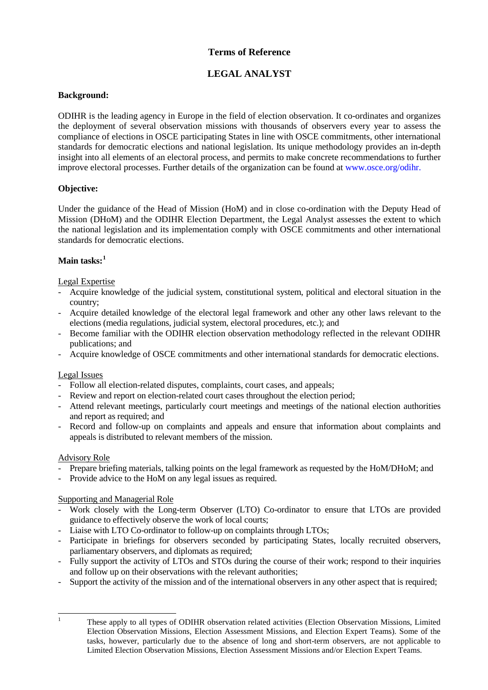## **Terms of Reference**

# **LEGAL ANALYST**

## **Background:**

ODIHR is the leading agency in Europe in the field of election observation. It co-ordinates and organizes the deployment of several observation missions with thousands of observers every year to assess the compliance of elections in OSCE participating States in line with OSCE commitments, other international standards for democratic elections and national legislation. Its unique methodology provides an in-depth insight into all elements of an electoral process, and permits to make concrete recommendations to further improve electoral processes. Further details of the organization can be found at [www.osce.org/odihr.](http://www.osce.org/odihr)

## **Objective:**

Under the guidance of the Head of Mission (HoM) and in close co-ordination with the Deputy Head of Mission (DHoM) and the ODIHR Election Department, the Legal Analyst assesses the extent to which the national legislation and its implementation comply with OSCE commitments and other international standards for democratic elections.

## **Main tasks: [1](#page-0-0)**

### Legal Expertise

- Acquire knowledge of the judicial system, constitutional system, political and electoral situation in the country;
- Acquire detailed knowledge of the electoral legal framework and other any other laws relevant to the elections (media regulations, judicial system, electoral procedures, etc.); and
- Become familiar with the ODIHR election observation methodology reflected in the relevant ODIHR publications; and
- Acquire knowledge of OSCE commitments and other international standards for democratic elections.

### Legal Issues

- Follow all election-related disputes, complaints, court cases, and appeals;
- Review and report on election-related court cases throughout the election period;
- Attend relevant meetings, particularly court meetings and meetings of the national election authorities and report as required; and
- Record and follow-up on complaints and appeals and ensure that information about complaints and appeals is distributed to relevant members of the mission.

### Advisory Role

- Prepare briefing materials, talking points on the legal framework as requested by the HoM/DHoM; and
- Provide advice to the HoM on any legal issues as required.

### Supporting and Managerial Role

- Work closely with the Long-term Observer (LTO) Co-ordinator to ensure that LTOs are provided guidance to effectively observe the work of local courts;
- Liaise with LTO Co-ordinator to follow-up on complaints through LTOs;
- Participate in briefings for observers seconded by participating States, locally recruited observers, parliamentary observers, and diplomats as required;
- Fully support the activity of LTOs and STOs during the course of their work; respond to their inquiries and follow up on their observations with the relevant authorities;
- Support the activity of the mission and of the international observers in any other aspect that is required;

<span id="page-0-0"></span>

<sup>&</sup>lt;sup>1</sup> These apply to all types of ODIHR observation related activities (Election Observation Missions, Limited Election Observation Missions, Election Assessment Missions, and Election Expert Teams). Some of the tasks, however, particularly due to the absence of long and short-term observers, are not applicable to Limited Election Observation Missions, Election Assessment Missions and/or Election Expert Teams.